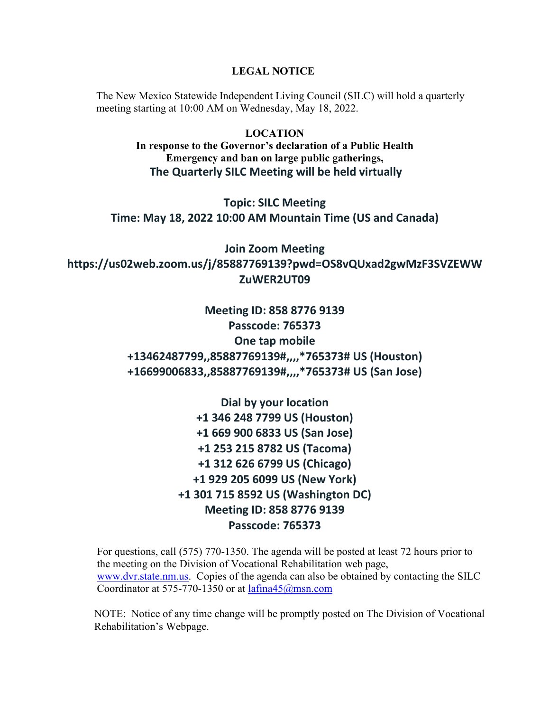**LEGAL NOTICE**

The New Mexico Statewide Independent Living Council (SILC) will hold a quarterly meeting starting at 10:00 AM on Wednesday, May 18, 2022.

> **LOCATION In response to the Governor's declaration of a Public Health Emergency and ban on large public gatherings, The Quarterly SILC Meeting will be held virtually**

**Topic: SILC Meeting Time: May 18, 2022 10:00 AM Mountain Time (US and Canada)**

**Join Zoom Meeting https://us02web.zoom.us/j/85887769139?pwd=OS8vQUxad2gwMzF3SVZEWW ZuWER2UT09**

> **Meeting ID: 858 8776 9139 Passcode: 765373 One tap mobile +13462487799,,85887769139#,,,,\*765373# US (Houston) +16699006833,,85887769139#,,,,\*765373# US (San Jose)**

> > **Dial by your location +1 346 248 7799 US (Houston) +1 669 900 6833 US (San Jose) +1 253 215 8782 US (Tacoma) +1 312 626 6799 US (Chicago) +1 929 205 6099 US (New York) +1 301 715 8592 US (Washington DC) Meeting ID: 858 8776 9139 Passcode: 765373**

For questions, call (575) 770-1350. The agenda will be posted at least 72 hours prior to the meeting on the Division of Vocational Rehabilitation web page, [www.dvr.state.nm.us.](http://www.dvr.state.nm.us/) Copies of the agenda can also be obtained by contacting the SILC Coordinator at 575-770-1350 or at [lafina45@msn.com](mailto:lafina45@msn.com)

 NOTE: Notice of any time change will be promptly posted on The Division of Vocational Rehabilitation's Webpage.